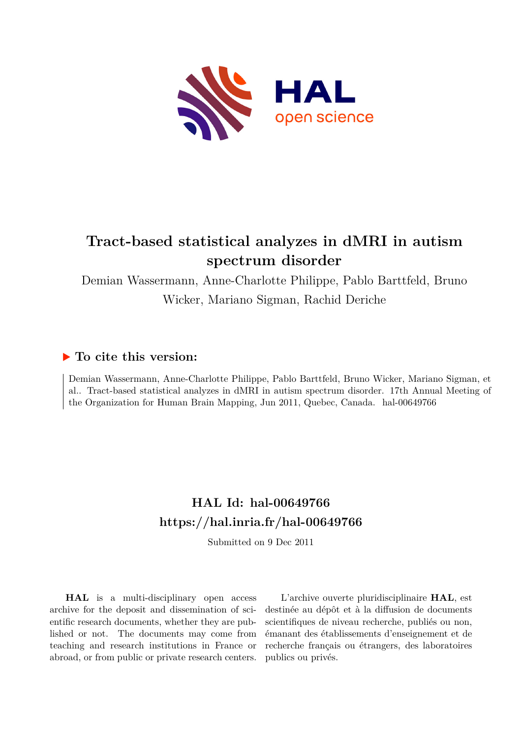

# **Tract-based statistical analyzes in dMRI in autism spectrum disorder**

Demian Wassermann, Anne-Charlotte Philippe, Pablo Barttfeld, Bruno Wicker, Mariano Sigman, Rachid Deriche

## **To cite this version:**

Demian Wassermann, Anne-Charlotte Philippe, Pablo Barttfeld, Bruno Wicker, Mariano Sigman, et al.. Tract-based statistical analyzes in dMRI in autism spectrum disorder. 17th Annual Meeting of the Organization for Human Brain Mapping, Jun 2011, Quebec, Canada. hal-00649766

# **HAL Id: hal-00649766 <https://hal.inria.fr/hal-00649766>**

Submitted on 9 Dec 2011

**HAL** is a multi-disciplinary open access archive for the deposit and dissemination of scientific research documents, whether they are published or not. The documents may come from teaching and research institutions in France or abroad, or from public or private research centers.

L'archive ouverte pluridisciplinaire **HAL**, est destinée au dépôt et à la diffusion de documents scientifiques de niveau recherche, publiés ou non, émanant des établissements d'enseignement et de recherche français ou étrangers, des laboratoires publics ou privés.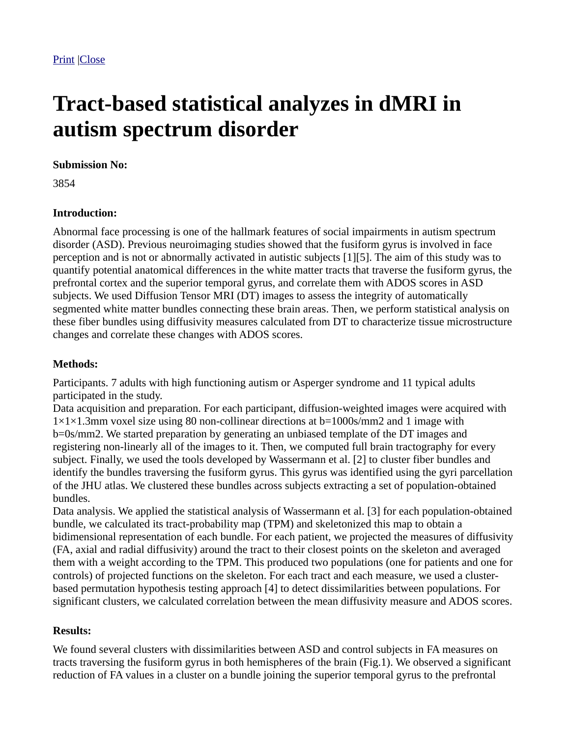# **Tract-based statistical analyzes in dMRI in autism spectrum disorder**

#### **Submission No:**

3854

### **Introduction:**

Abnormal face processing is one of the hallmark features of social impairments in autism spectrum disorder (ASD). Previous neuroimaging studies showed that the fusiform gyrus is involved in face perception and is not or abnormally activated in autistic subjects [1][5]. The aim of this study was to quantify potential anatomical differences in the white matter tracts that traverse the fusiform gyrus, the prefrontal cortex and the superior temporal gyrus, and correlate them with ADOS scores in ASD subjects. We used Diffusion Tensor MRI (DT) images to assess the integrity of automatically segmented white matter bundles connecting these brain areas. Then, we perform statistical analysis on these fiber bundles using diffusivity measures calculated from DT to characterize tissue microstructure changes and correlate these changes with ADOS scores.

### **Methods:**

Participants. 7 adults with high functioning autism or Asperger syndrome and 11 typical adults participated in the study.

Data acquisition and preparation. For each participant, diffusion-weighted images were acquired with  $1\times1\times1.3$ mm voxel size using 80 non-collinear directions at b=1000s/mm2 and 1 image with b=0s/mm2. We started preparation by generating an unbiased template of the DT images and registering non-linearly all of the images to it. Then, we computed full brain tractography for every subject. Finally, we used the tools developed by Wassermann et al. [2] to cluster fiber bundles and identify the bundles traversing the fusiform gyrus. This gyrus was identified using the gyri parcellation of the JHU atlas. We clustered these bundles across subjects extracting a set of population-obtained bundles.

Data analysis. We applied the statistical analysis of Wassermann et al. [3] for each population-obtained bundle, we calculated its tract-probability map (TPM) and skeletonized this map to obtain a bidimensional representation of each bundle. For each patient, we projected the measures of diffusivity (FA, axial and radial diffusivity) around the tract to their closest points on the skeleton and averaged them with a weight according to the TPM. This produced two populations (one for patients and one for controls) of projected functions on the skeleton. For each tract and each measure, we used a clusterbased permutation hypothesis testing approach [4] to detect dissimilarities between populations. For significant clusters, we calculated correlation between the mean diffusivity measure and ADOS scores.

## **Results:**

We found several clusters with dissimilarities between ASD and control subjects in FA measures on tracts traversing the fusiform gyrus in both hemispheres of the brain (Fig.1). We observed a significant reduction of FA values in a cluster on a bundle joining the superior temporal gyrus to the prefrontal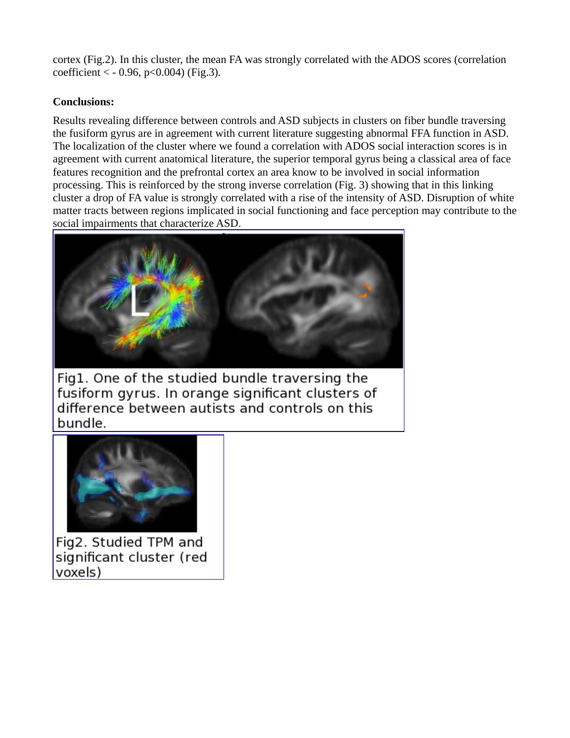cortex (Fig.2). In this cluster, the mean FA was strongly correlated with the ADOS scores (correlation  $coefficient < -0.96, p < 0.004$  (Fig.3).

### **Conclusions:**

Results revealing difference between controls and ASD subjects in clusters on fiber bundle traversing the fusiform gyrus are in agreement with current literature suggesting abnormal FFA function in ASD. The localization of the cluster where we found a correlation with ADOS social interaction scores is in agreement with current anatomical literature, the superior temporal gyrus being a classical area of face features recognition and the prefrontal cortex an area know to be involved in social information processing. This is reinforced by the strong inverse correlation (Fig. 3) showing that in this linking cluster a drop of FA value is strongly correlated with a rise of the intensity of ASD. Disruption of white matter tracts between regions implicated in social functioning and face perception may contribute to the [social impairments that characterize ASD.](http://ww4.aievolution.com/hbm1101/files/content/abstracts/abs_3618/Fig_1.png)



Fig1. One of the studied bundle traversing the fusiform gyrus. In orange significant clusters of difference between autists and controls on this bundle.



Fig2. Studied TPM and significant cluster (red voxels)